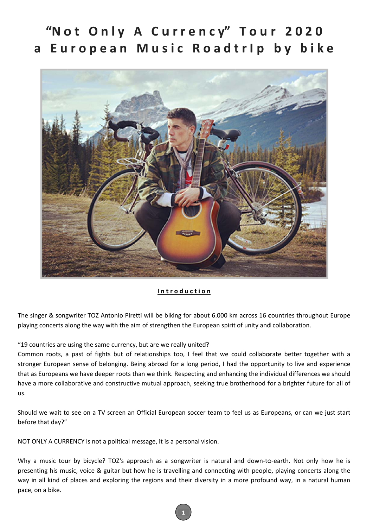# "Not Only A Currency" Tour 2020 a European Music Roadtrlp by bike



#### **I n t t r o d u c t i o n**

The singer & songwriter TOZ Antonio Piretti will be biking for about 6.000 km across 16 countries throughout Europe playing concerts along the way with the aim of strengthen the European spirit of unity and collaboration.

"19 countries are using the same currency, but are we really united?

Common roots, a past of fights but of relationships too, I feel that we could collaborate better together with a stronger European sense of belonging. Being abroad for a long period, I had the opportunity to live and experience that as Europeans we have deeper roots than we think. Respecting and enhancing the individual differences we should have a more collaborative and constructive mutual approach, seeking true brotherhood for a brighter future for all of us.

Should we wait to see on a TV screen an Official European soccer team to feel us as Europeans, or can we just start before that day?"

NOT ONLY A CURRENCY is not a political message, it is a personal vision.

Why a music tour by bicycle? TOZ's approach as a songwriter is natural and down-to-earth. Not only how he is presenting his music, voice & guitar but how he is travelling and connecting with people, playing concerts along the way in all kind of places and exploring the regions and their diversity in a more profound way, in a natural human pace, on a bike.

**1**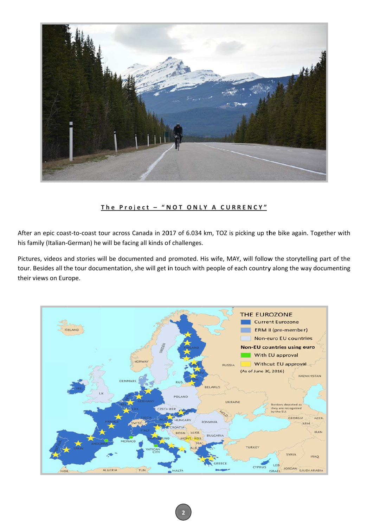

## The Project - "NOT ONLY A CURRENCY"

After an epic coast-to-coast tour across Canada in 2017 of 6.034 km, TOZ is picking up the bike again. Together with his family (Italian-German) he will be facing all kinds of challenges.

Pictures, videos and stories will be documented and promoted. His wife, MAY, will follow the storytelling part of the tour. Besides all the tour documentation, she will get in touch with people of each country along the way documenting their views on Europe.

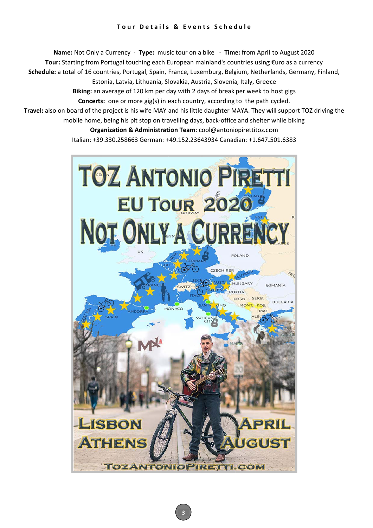## <u> Tour Details & Events Schedule</u>

Schedule: a total of 16 countries, Portugal, Spain, France, Luxemburg, Belgium, Netherlands, Germany, Finland Travel: also on board of the project is his wife MAY and his little daughter MAYA. They will support TOZ driving t Name: Not Only a Currency - Type: music tour on a bike - Time: from April to August 2020 Tour: Starting from Portugal touching each European mainland's countries using €uro as a currency mobile home, being his pit stop on travelling days, back-office and shelter while biking Estonia, Latvia, Lithuania, Slovakia, Austria, Slovenia, Italy, Greece Biking: an average of 120 km per day with 2 days of break per week to host gigs **Concerts:** one or more gig(s) in each country, according to the path cycled. **Organization & Administration Team**: cool@antoniopirettitoz.com Italian: +39.330.258663 German: +49.152.23643934 Canadian: +1.647.501.6383 nany, Finland,<br>TOZ driving th<br>g the

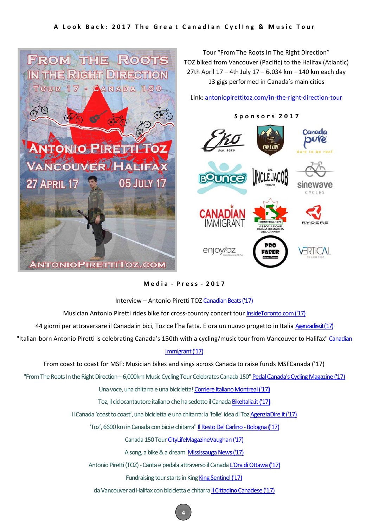#### A Look Back: 2017 The Great Canadian Cycling & Music Tour



Media - Press - 2017

#### Interview - Antonio Piretti TOZ Canadian Beats ('17)

Musician Antonio Piretti rides bike for cross-country concert tour InsideToronto.com ('17)

44 giorni per attraversare il Canada in bici, Toz ce l'ha fatta. E ora un nuovo progetto in Italia Agenziadire.it('17)

"Italian-born Antonio Piretti is celebrating Canada's 150th with a cycling/music tour from Vancouver to Halifax" Canadian

## Immigrant ('17)

From coast to coast for MSF: Musician bikes and sings across Canada to raise funds MSFCanada ('17)

"From The Roots In the Right Direction - 6,000km Music Cycling Tour Celebrates Canada 150" Pedal Canada's Cycling Magazine ('17)

Una voce, una chitarra e una bicicletta! Corriere Italiano Montreal ('17)

Toz. il ciclocantautore italiano che ha sedotto il Canada Bikeltalia.it ('17)

Il Canada 'coast to coast', una bicicletta e una chitarra: la 'folle' idea di Toz AgenziaDire.it ('17)

'Toz', 6600 km in Canada con bici e chitarra" Il Resto Del Carlino - Bologna ('17)

Canada 150 Tour CityLifeMagazineVaughan ('17)

A song, a bike & a dream Mississauga News ('17)

Antonio Piretti (TOZ) - Canta e pedala attraverso il Canada L'Ora di Ottawa ('17)

Fundraising tour starts in King King Sentinel ('17)

da Vancouver ad Halifax con bicicletta e chitarra Il Cittadino Canadese ('17)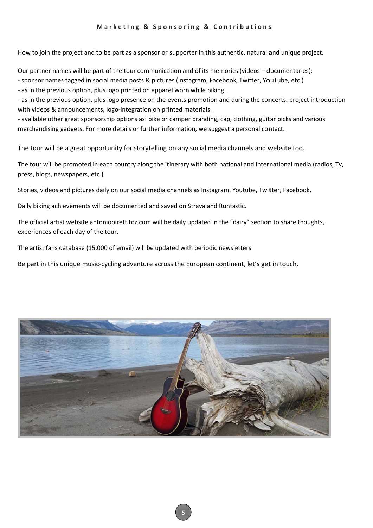## Marketing & Sponsoring & Contributions

How to join the project and to be part as a sponsor or supporter in this authentic, natural and unique project.

Our partner names will be part of the tour communication and of its memories (videos - documentaries):

- sponsor names tagged in social media posts & pictures (Instagram, Facebook, Twitter, YouTube, etc.)

- as in the previous option, plus logo printed on apparel worn while biking.

- as in the previous option, plus logo presence on the events promotion and during the concerts: project introduction with videos & announcements, logo-integration on printed materials.

- available other great sponsorship options as: bike or camper branding, cap, clothing, guitar picks and various merchandising gadgets. For more details or further information, we suggest a personal contact.

The tour will be a great opportunity for storytelling on any social media channels and website too.

The tour will be promoted in each country along the itinerary with both national and international media (radios, Tv, press, blogs, newspapers, etc.)

Stories, videos and pictures daily on our social media channels as Instagram, Youtube, Twitter, Facebook.

Daily biking achievements will be documented and saved on Strava and Runtastic.

The official artist website antoniopirettitoz.com will be daily updated in the "dairy" section to share thoughts, experiences of each day of the tour.

The artist fans database (15.000 of email) will be updated with periodic newsletters

Be part in this unique music-cycling adventure across the European continent, let's get in touch.